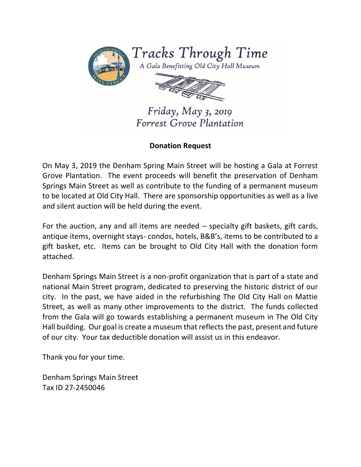

Tracks Through Time

A Gala Benefitting Old City Hall Museum



Friday, May 3, 2019 Forrest Grove Plantation

## **Donation Request**

On May 3, 2019 the Denham Spring Main Street will be hosting a Gala at Forrest Grove Plantation. The event proceeds will benefit the preservation of Denham Springs Main Street as well as contribute to the funding of a permanent museum to be located at Old City Hall. There are sponsorship opportunities as well as a live and silent auction will be held during the event.

For the auction, any and all items are needed – specialty gift baskets, gift cards, antique items, overnight stays- condos, hotels, B&B's, items to be contributed to a gift basket, etc. Items can be brought to Old City Hall with the donation form attached.

Denham Springs Main Street is a non-profit organization that is part of a state and national Main Street program, dedicated to preserving the historic district of our city. In the past, we have aided in the refurbishing The Old City Hall on Mattie Street, as well as many other improvements to the district. The funds collected from the Gala will go towards establishing a permanent museum in The Old City Hall building. Our goal is create a museum that reflects the past, present and future of our city. Your tax deductible donation will assist us in this endeavor.

Thank you for your time.

Denham Springs Main Street Tax ID 27-2450046